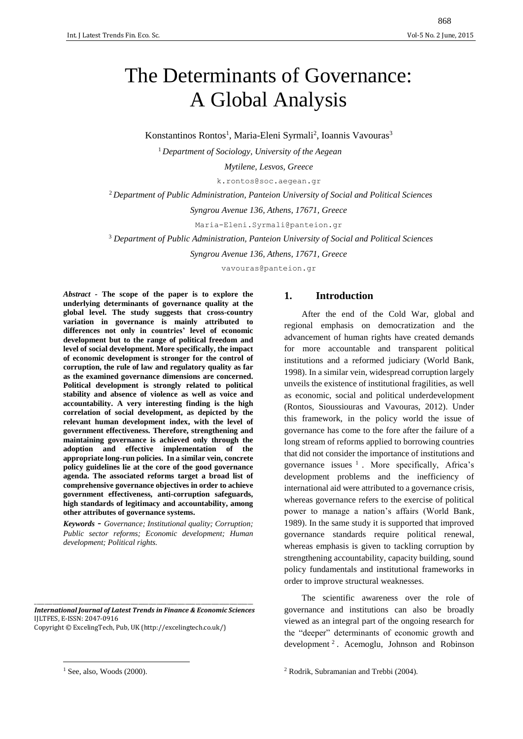# The Determinants of Governance: A Global Analysis

Konstantinos Rontos<sup>1</sup>, Maria-Eleni Syrmali<sup>2</sup>, Ioannis Vavouras<sup>3</sup>

<sup>1</sup>*Department of Sociology, University of the Aegean*

*Mytilene, Lesvos, Greece*

[k.rontos@soc.aegean.gr](mailto:k.rontos@soc.aegean.gr)

<sup>2</sup>*Department of Public Administration, Panteion University of Social and Political Sciences*

*Syngrou Avenue 136, Athens, 17671, Greece*

[Maria-Eleni.Syrmali@panteion.gr](mailto:Maria-Eleni.Syrmali@panteion.gr)

<sup>3</sup> *Department of Public Administration, Panteion University of Social and Political Sciences*

*Syngrou Avenue 136, Athens, 17671, Greece*

vavouras@panteion.gr

*Abstract -* **The scope of the paper is to explore the underlying determinants of governance quality at the global level. The study suggests that cross-country variation in governance is mainly attributed to differences not only in countries' level of economic development but to the range of political freedom and level of social development. More specifically, the impact of economic development is stronger for the control of corruption, the rule of law and regulatory quality as far as the examined governance dimensions are concerned. Political development is strongly related to political stability and absence of violence as well as voice and accountability. A very interesting finding is the high correlation of social development, as depicted by the relevant human development index, with the level of government effectiveness. Therefore, strengthening and maintaining governance is achieved only through the adoption and effective implementation of the appropriate long-run policies. In a similar vein, concrete policy guidelines lie at the core of the good governance agenda. The associated reforms target a broad list of comprehensive governance objectives in order to achieve government effectiveness, anti-corruption safeguards, high standards of legitimacy and accountability, among other attributes of governance systems.**

*Keywords* - *Governance; Institutional quality; Corruption; Public sector reforms; Economic development; Human development; Political rights.*

\_\_\_\_\_\_\_\_\_\_\_\_\_\_\_\_\_\_\_\_\_\_\_\_\_\_\_\_\_\_\_\_\_\_\_\_\_\_\_\_\_\_\_\_\_\_\_\_\_\_\_\_\_\_\_\_\_\_\_\_\_\_\_\_\_\_\_\_\_\_\_\_\_\_\_\_\_\_\_\_\_\_\_\_ *International Journal of Latest Trends in Finance & Economic Sciences* IJLTFES, E-ISSN: 2047-0916 Copyright © ExcelingTech, Pub, UK [\(http://excelingtech.co.uk/\)](http://excelingtech.co.uk/)

**.** 

# **1. Introduction**

After the end of the Cold War, global and regional emphasis on democratization and the advancement of human rights have created demands for more accountable and transparent political institutions and a reformed judiciary (World Bank, 1998). In a similar vein, widespread corruption largely unveils the existence of institutional fragilities, as well as economic, social and political underdevelopment (Rontos, Sioussiouras and Vavouras, 2012). Under this framework, in the policy world the issue of governance has come to the fore after the failure of a long stream of reforms applied to borrowing countries that did not consider the importance of institutions and governance issues  $<sup>1</sup>$ . More specifically, Africa's</sup> development problems and the inefficiency of international aid were attributed to a governance crisis, whereas governance refers to the exercise of political power to manage a nation's affairs (World Bank, 1989). In the same study it is supported that improved governance standards require political renewal, whereas emphasis is given to tackling corruption by strengthening accountability, capacity building, sound policy fundamentals and institutional frameworks in order to improve structural weaknesses.

The scientific awareness over the role of governance and institutions can also be broadly viewed as an integral part of the ongoing research for the "deeper" determinants of economic growth and development <sup>2</sup> . Acemoglu, Johnson and Robinson

 $1$  See, also, Woods (2000).

<sup>2</sup> Rodrik, Subramanian and Trebbi (2004).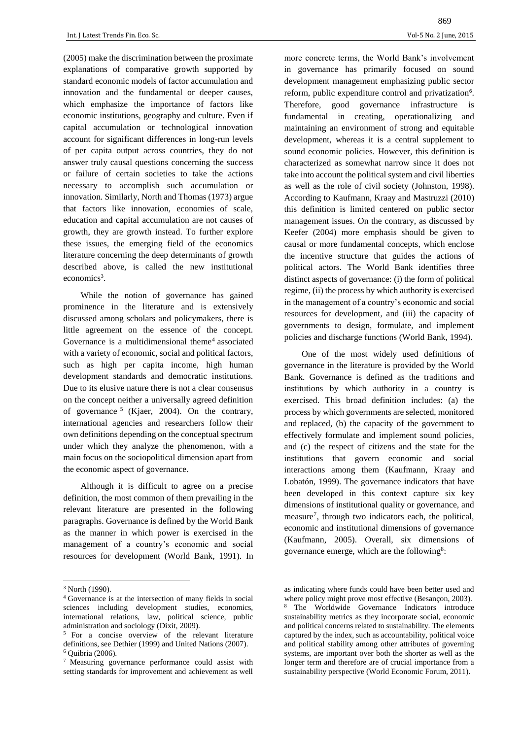(2005) make the discrimination between the proximate explanations of comparative growth supported by standard economic models of factor accumulation and innovation and the fundamental or deeper causes, which emphasize the importance of factors like economic institutions, geography and culture. Even if capital accumulation or technological innovation account for significant differences in long-run levels of per capita output across countries, they do not answer truly causal questions concerning the success or failure of certain societies to take the actions necessary to accomplish such accumulation or innovation. Similarly, North and Thomas (1973) argue that factors like innovation, economies of scale, education and capital accumulation are not causes of growth, they are growth instead. To further explore these issues, the emerging field of the economics literature concerning the deep determinants of growth described above, is called the new institutional economics<sup>3</sup>.

While the notion of governance has gained prominence in the literature and is extensively discussed among scholars and policymakers, there is little agreement on the essence of the concept. Governance is a multidimensional theme<sup>4</sup> associated with a variety of economic, social and political factors, such as high per capita income, high human development standards and democratic institutions. Due to its elusive nature there is not a clear consensus on the concept neither a universally agreed definition of governance <sup>5</sup> (Kjaer, 2004). On the contrary, international agencies and researchers follow their own definitions depending on the conceptual spectrum under which they analyze the phenomenon, with a main focus on the sociopolitical dimension apart from the economic aspect of governance.

Although it is difficult to agree on a precise definition, the most common of them prevailing in the relevant literature are presented in the following paragraphs. Governance is defined by the World Bank as the manner in which power is exercised in the management of a country's economic and social resources for development (World Bank, 1991). In

 $\overline{\phantom{a}}$ 

more concrete terms, the World Bank's involvement in governance has primarily focused on sound development management emphasizing public sector reform, public expenditure control and privatization<sup>6</sup>. Therefore, good governance infrastructure is fundamental in creating, operationalizing and maintaining an environment of strong and equitable development, whereas it is a central supplement to sound economic policies. However, this definition is characterized as somewhat narrow since it does not take into account the political system and civil liberties as well as the role of civil society (Johnston, 1998). According to Kaufmann, Kraay and Mastruzzi (2010) this definition is limited centered on public sector management issues. On the contrary, as discussed by Keefer (2004) more emphasis should be given to causal or more fundamental concepts, which enclose the incentive structure that guides the actions of political actors. The World Bank identifies three distinct aspects of governance: (i) the form of political regime, (ii) the process by which authority is exercised in the management of a country's economic and social resources for development, and (iii) the capacity of governments to design, formulate, and implement policies and discharge functions (World Bank, 1994).

One of the most widely used definitions of governance in the literature is provided by the World Bank. Governance is defined as the traditions and institutions by which authority in a country is exercised. This broad definition includes: (a) the process by which governments are selected, monitored and replaced, (b) the capacity of the government to effectively formulate and implement sound policies, and (c) the respect of citizens and the state for the institutions that govern economic and social interactions among them (Kaufmann, Kraay and Lobatón, 1999). The governance indicators that have been developed in this context capture six key dimensions of institutional quality or governance, and measure<sup>7</sup>, through two indicators each, the political, economic and institutional dimensions of governance (Kaufmann, 2005). Overall, six dimensions of governance emerge, which are the following<sup>8</sup>:

<sup>3</sup> North (1990).

<sup>4</sup> Governance is at the intersection of many fields in social sciences including development studies, economics, international relations, law, political science, public administration and sociology (Dixit, 2009).

<sup>5</sup> For a concise overview of the relevant literature definitions, see Dethier (1999) and United Nations (2007).  $6$  Quibria  $(2006)$ .

<sup>7</sup> Measuring governance performance could assist with setting standards for improvement and achievement as well

as indicating where funds could have been better used and where policy might prove most effective (Besançon, 2003). <sup>8</sup> The Worldwide Governance Indicators introduce sustainability metrics as they incorporate social, economic and political concerns related to sustainability. The elements captured by the index, such as accountability, political voice and political stability among other attributes of governing systems, are important over both the shorter as well as the longer term and therefore are of crucial importance from a sustainability perspective (World Economic Forum, 2011).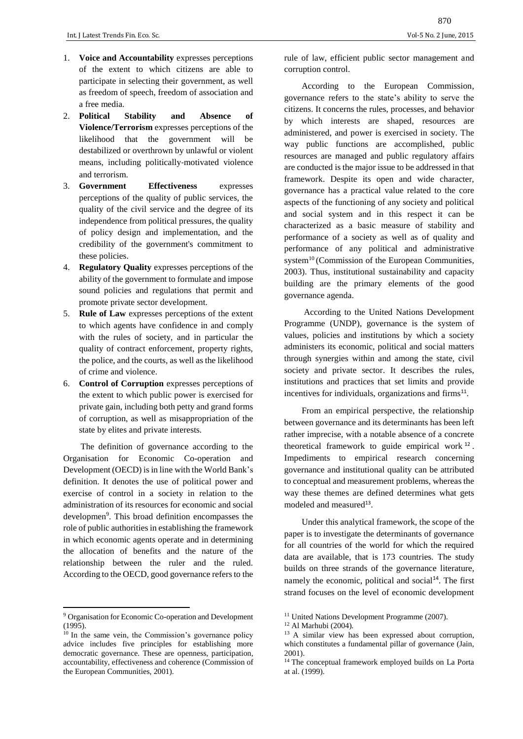- 1. **Voice and Accountability** expresses perceptions of the extent to which citizens are able to participate in selecting their government, as well as freedom of speech, freedom of association and a free media.
- 2. **Political Stability and Absence of Violence/Terrorism** expresses perceptions of the likelihood that the government will be destabilized or overthrown by unlawful or violent means, including politically‐motivated violence and terrorism.
- 3. **Government Effectiveness** expresses perceptions of the quality of public services, the quality of the civil service and the degree of its independence from political pressures, the quality of policy design and implementation, and the credibility of the government's commitment to these policies.
- 4. **Regulatory Quality** expresses perceptions of the ability of the government to formulate and impose sound policies and regulations that permit and promote private sector development.
- 5. **Rule of Law** expresses perceptions of the extent to which agents have confidence in and comply with the rules of society, and in particular the quality of contract enforcement, property rights, the police, and the courts, as well as the likelihood of crime and violence.
- 6. **Control of Corruption** expresses perceptions of the extent to which public power is exercised for private gain, including both petty and grand forms of corruption, as well as misappropriation of the state by elites and private interests.

The definition of governance according to the Organisation for Economic Co-operation and Development (OECD) is in line with the World Bank's definition. It denotes the use of political power and exercise of control in a society in relation to the administration of its resources for economic and social developmen<sup>9</sup>. This broad definition encompasses the role of public authorities in establishing the framework in which economic agents operate and in determining the allocation of benefits and the nature of the relationship between the ruler and the ruled. According to the OECD, good governance refers to the

**.** 

rule of law, efficient public sector management and corruption control.

According to the European Commission, governance refers to the state's ability to serve the citizens. It concerns the rules, processes, and behavior by which interests are shaped, resources are administered, and power is exercised in society. The way public functions are accomplished, public resources are managed and public regulatory affairs are conducted is the major issue to be addressed in that framework. Despite its open and wide character, governance has a practical value related to the core aspects of the functioning of any society and political and social system and in this respect it can be characterized as a basic measure of stability and performance of a society as well as of quality and performance of any political and administrative system<sup>10</sup> (Commission of the European Communities, 2003). Thus, institutional sustainability and capacity building are the primary elements of the good governance agenda.

According to the United Nations Development Programme (UNDP), governance is the system of values, policies and institutions by which a society administers its economic, political and social matters through synergies within and among the state, civil society and private sector. It describes the rules, institutions and practices that set limits and provide incentives for individuals, organizations and firms<sup>11</sup>.

From an empirical perspective, the relationship between governance and its determinants has been left rather imprecise, with a notable absence of a concrete theoretical framework to guide empirical work  $12$ . Impediments to empirical research concerning governance and institutional quality can be attributed to conceptual and measurement problems, whereas the way these themes are defined determines what gets modeled and measured<sup>13</sup>.

Under this analytical framework, the scope of the paper is to investigate the determinants of governance for all countries of the world for which the required data are available, that is 173 countries. The study builds on three strands of the governance literature, namely the economic, political and social<sup>14</sup>. The first strand focuses on the level of economic development

<sup>9</sup> Organisation for Economic Co-operation and Development (1995).

<sup>&</sup>lt;sup>10</sup> In the same vein, the Commission's governance policy advice includes five principles for establishing more democratic governance. These are openness, participation, accountability, effectiveness and coherence (Commission of the European Communities, 2001).

<sup>&</sup>lt;sup>11</sup> United Nations Development Programme (2007).

<sup>12</sup> Al Marhubi (2004).

<sup>13</sup> A similar view has been expressed about corruption, which constitutes a fundamental pillar of governance (Jain, 2001).

<sup>&</sup>lt;sup>14</sup> The conceptual framework employed builds on La Porta at al. (1999).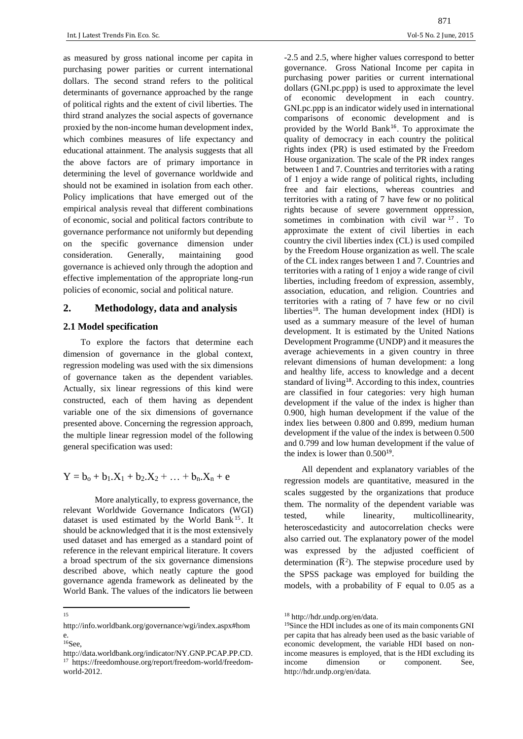as measured by gross national income per capita in purchasing power parities or current international dollars. The second strand refers to the political determinants of governance approached by the range of political rights and the extent of civil liberties. The third strand analyzes the social aspects of governance proxied by the non-income human development index, which combines measures of life expectancy and educational attainment. The analysis suggests that all the above factors are of primary importance in determining the level of governance worldwide and should not be examined in isolation from each other. Policy implications that have emerged out of the empirical analysis reveal that different combinations of economic, social and political factors contribute to governance performance not uniformly but depending on the specific governance dimension under consideration. Generally, maintaining good governance is achieved only through the adoption and effective implementation of the appropriate long-run policies of economic, social and political nature.

# **2. Methodology, data and analysis**

# **2.1 Model specification**

To explore the factors that determine each dimension of governance in the global context, regression modeling was used with the six dimensions of governance taken as the dependent variables. Actually, six linear regressions of this kind were constructed, each of them having as dependent variable one of the six dimensions of governance presented above. Concerning the regression approach, the multiple linear regression model of the following general specification was used:

$$
Y = b_o + b_1.X_1 + b_2.X_2 + \ldots + b_n.X_n + e
$$

More analytically, to express governance, the relevant Worldwide Governance Indicators (WGI) dataset is used estimated by the World Bank<sup>15</sup>. It should be acknowledged that it is the most extensively used dataset and has emerged as a standard point of reference in the relevant empirical literature. It covers a broad spectrum of the six governance dimensions described above, which neatly capture the good governance agenda framework as delineated by the World Bank. The values of the indicators lie between -2.5 and 2.5, where higher values correspond to better governance. Gross National Income per capita in purchasing power parities or current international dollars (GNI.pc.ppp) is used to approximate the level of economic development in each country. GNI.pc.ppp is an indicator widely used in international comparisons of economic development and is provided by the World Bank<sup>16</sup>. To approximate the quality of democracy in each country the political rights index (PR) is used estimated by the Freedom House organization. The scale of the PR index ranges between 1 and 7. Countries and territories with a rating of 1 enjoy a wide range of political rights, including free and fair elections, whereas countries and territories with a rating of 7 have few or no political rights because of severe government oppression, sometimes in combination with civil war <sup>17</sup> . To approximate the extent of civil liberties in each country the civil liberties index (CL) is used compiled by the Freedom House organization as well. The scale of the CL index ranges between 1 and 7. Countries and territories with a rating of 1 enjoy a wide range of civil liberties, including freedom of expression, assembly, association, education, and religion. Countries and territories with a rating of 7 have few or no civil liberties<sup>18</sup>. The human development index  $(HDI)$  is used as a summary measure of the level of human development. It is estimated by the United Nations Development Programme (UNDP) and it measures the average achievements in a given country in three relevant dimensions of human development: a long and healthy life, access to knowledge and a decent standard of living<sup>18</sup>. According to this index, countries are classified in four categories: very high human development if the value of the index is higher than 0.900, high human development if the value of the index lies between 0.800 and 0.899, medium human development if the value of the index is between 0.500 and 0.799 and low human development if the value of the index is lower than  $0.500^{19}$ .

All dependent and explanatory variables of the regression models are quantitative, measured in the scales suggested by the organizations that produce them. The normality of the dependent variable was tested, while linearity, multicollinearity, heteroscedasticity and autocorrelation checks were also carried out. The explanatory power of the model was expressed by the adjusted coefficient of determination  $(\overline{R}^2)$ . The stepwise procedure used by the SPSS package was employed for building the models, with a probability of F equal to 0.05 as a

 $\frac{1}{15}$ 

http://info.worldbank.org/governance/wgi/index.aspx#hom e.

<sup>16</sup>See,

[http://data.worldbank.org/indicator/NY.GNP.PCAP.PP.CD.](http://data.worldbank.org/indicator/NY.GNP.PCAP.PP.CD) <sup>17</sup> https://freedomhouse.org/report/freedom-world/freedomworld-2012.

<sup>18</sup> http://hdr.undp.org/en/data.

<sup>19</sup>Since the HDI includes as one of its main components GNI per capita that has already been used as the basic variable of economic development, the variable HDI based on nonincome measures is employed, that is the HDI excluding its income dimension or component. See, http://hdr.undp.org/en/data.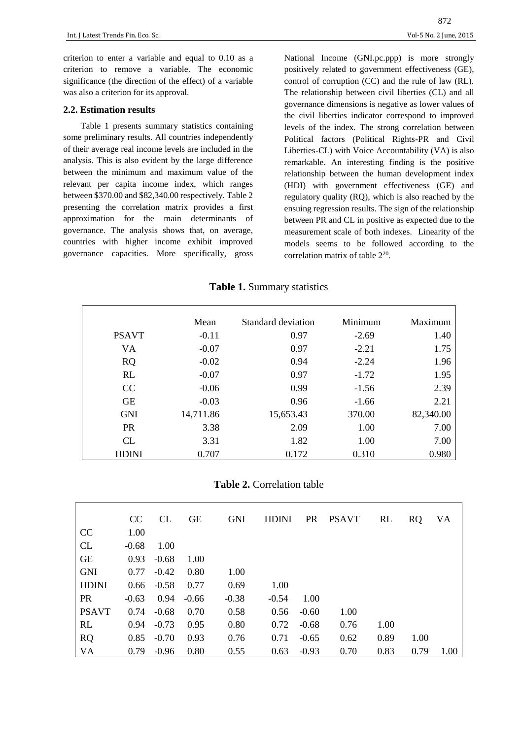criterion to enter a variable and equal to 0.10 as a criterion to remove a variable. The economic significance (the direction of the effect) of a variable was also a criterion for its approval.

## **2.2. Estimation results**

Table 1 presents summary statistics containing some preliminary results. All countries independently of their average real income levels are included in the analysis. This is also evident by the large difference between the minimum and maximum value of the relevant per capita income index, which ranges between \$370.00 and \$82,340.00 respectively. Table 2 presenting the correlation matrix provides a first approximation for the main determinants of governance. The analysis shows that, on average, countries with higher income exhibit improved governance capacities. More specifically, gross National Income (GNI.pc.ppp) is more strongly positively related to government effectiveness (GE), control of corruption (CC) and the rule of law (RL). The relationship between civil liberties (CL) and all governance dimensions is negative as lower values of the civil liberties indicator correspond to improved levels of the index. The strong correlation between Political factors (Political Rights-PR and Civil Liberties-CL) with Voice Accountability (VA) is also remarkable. An interesting finding is the positive relationship between the human development index (HDI) with government effectiveness (GE) and regulatory quality (RQ), which is also reached by the ensuing regression results. The sign of the relationship between PR and CL in positive as expected due to the measurement scale of both indexes. Linearity of the models seems to be followed according to the correlation matrix of table 2<sup>20</sup>.

#### **Table 1.** Summary statistics

|              | Mean      | Standard deviation | Minimum | Maximum   |
|--------------|-----------|--------------------|---------|-----------|
| <b>PSAVT</b> | $-0.11$   | 0.97               | $-2.69$ | 1.40      |
| VA           | $-0.07$   | 0.97               | $-2.21$ | 1.75      |
| <b>RQ</b>    | $-0.02$   | 0.94               | $-2.24$ | 1.96      |
| RL           | $-0.07$   | 0.97               | $-1.72$ | 1.95      |
| CC           | $-0.06$   | 0.99               | $-1.56$ | 2.39      |
| <b>GE</b>    | $-0.03$   | 0.96               | $-1.66$ | 2.21      |
| <b>GNI</b>   | 14,711.86 | 15,653.43          | 370.00  | 82,340.00 |
| <b>PR</b>    | 3.38      | 2.09               | 1.00    | 7.00      |
| CL           | 3.31      | 1.82               | 1.00    | 7.00      |
| <b>HDINI</b> | 0.707     | 0.172              | 0.310   | 0.980     |

**Table 2.** Correlation table

|              | CC.     | CL.     | <b>GE</b> | <b>GNI</b> | <b>HDINI</b> | <b>PR</b> | <b>PSAVT</b> | <b>RL</b> | <b>RQ</b> | VA   |
|--------------|---------|---------|-----------|------------|--------------|-----------|--------------|-----------|-----------|------|
| CC           | 1.00    |         |           |            |              |           |              |           |           |      |
| CL           | $-0.68$ | 1.00    |           |            |              |           |              |           |           |      |
| <b>GE</b>    | 0.93    | $-0.68$ | 1.00      |            |              |           |              |           |           |      |
| <b>GNI</b>   | 0.77    | $-0.42$ | 0.80      | 1.00       |              |           |              |           |           |      |
| <b>HDINI</b> | 0.66    | $-0.58$ | 0.77      | 0.69       | 1.00         |           |              |           |           |      |
| <b>PR</b>    | $-0.63$ | 0.94    | $-0.66$   | $-0.38$    | $-0.54$      | 1.00      |              |           |           |      |
| <b>PSAVT</b> | 0.74    | $-0.68$ | 0.70      | 0.58       | 0.56         | $-0.60$   | 1.00         |           |           |      |
| RL           | 0.94    | $-0.73$ | 0.95      | 0.80       | 0.72         | $-0.68$   | 0.76         | 1.00      |           |      |
| <b>RQ</b>    | 0.85    | $-0.70$ | 0.93      | 0.76       | 0.71         | $-0.65$   | 0.62         | 0.89      | 1.00      |      |
| VA           | 0.79    | $-0.96$ | 0.80      | 0.55       | 0.63         | $-0.93$   | 0.70         | 0.83      | 0.79      | 1.00 |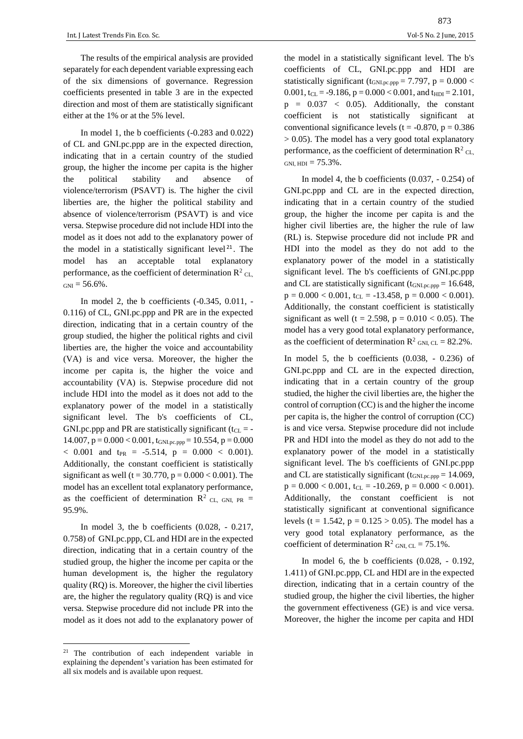The results of the empirical analysis are provided separately for each dependent variable expressing each of the six dimensions of governance. Regression coefficients presented in table 3 are in the expected direction and most of them are statistically significant either at the 1% or at the 5% level.

In model 1, the b coefficients (-0.283 and 0.022) of CL and GNI.pc.ppp are in the expected direction, indicating that in a certain country of the studied group, the higher the income per capita is the higher the political stability and absence of violence/terrorism (PSAVT) is. The higher the civil liberties are, the higher the political stability and absence of violence/terrorism (PSAVT) is and vice versa. Stepwise procedure did not include HDI into the model as it does not add to the explanatory power of the model in a statistically significant level  $21$ . The model has an acceptable total explanatory performance, as the coefficient of determination  $\mathbb{R}^2$  CL,  $GNI = 56.6\%$ .

In model 2, the b coefficients (-0.345, 0.011, - 0.116) of CL, GNI.pc.ppp and PR are in the expected direction, indicating that in a certain country of the group studied, the higher the political rights and civil liberties are, the higher the voice and accountability (VA) is and vice versa. Moreover, the higher the income per capita is, the higher the voice and accountability (VA) is. Stepwise procedure did not include HDI into the model as it does not add to the explanatory power of the model in a statistically significant level. The b's coefficients of CL, GNI.pc.ppp and PR are statistically significant ( $t_{CL}$  = - $14.007$ ,  $p = 0.000 < 0.001$ ,  $t_{GNLpc,ppp} = 10.554$ ,  $p = 0.000$  $< 0.001$  and t<sub>PR</sub> = -5.514, p = 0.000  $< 0.001$ ). Additionally, the constant coefficient is statistically significant as well (t = 30.770, p =  $0.000 < 0.001$ ). The model has an excellent total explanatory performance, as the coefficient of determination  $R^2$  CL, GNI, PR = 95.9%.

In model 3, the b coefficients (0.028, - 0.217, 0.758) of GNI.pc.ppp, CL and HDI are in the expected direction, indicating that in a certain country of the studied group, the higher the income per capita or the human development is, the higher the regulatory quality (RQ) is. Moreover, the higher the civil liberties are, the higher the regulatory quality (RQ) is and vice versa. Stepwise procedure did not include PR into the model as it does not add to the explanatory power of

 $\overline{\phantom{a}}$ 

the model in a statistically significant level. The b's coefficients of CL, GNI.pc.ppp and HDI are statistically significant ( $t_{GNLpc.ppp}$  = 7.797, p = 0.000 < 0.001,  $t_{CL} = -9.186$ ,  $p = 0.000 < 0.001$ , and  $t_{HDI} = 2.101$ ,  $p = 0.037 < 0.05$ ). Additionally, the constant coefficient is not statistically significant at conventional significance levels ( $t = -0.870$ ,  $p = 0.386$ > 0.05). The model has a very good total explanatory performance, as the coefficient of determination  $\mathbb{R}^2$  CL, GNL HDI =  $75.3\%$ .

In model 4, the b coefficients (0.037, - 0.254) of GNI.pc.ppp and CL are in the expected direction, indicating that in a certain country of the studied group, the higher the income per capita is and the higher civil liberties are, the higher the rule of law (RL) is. Stepwise procedure did not include PR and HDI into the model as they do not add to the explanatory power of the model in a statistically significant level. The b's coefficients of GNI.pc.ppp and CL are statistically significant (tGNI.pc.ppp = 16.648,  $p = 0.000 < 0.001$ ,  $t_{CL} = -13.458$ ,  $p = 0.000 < 0.001$ ). Additionally, the constant coefficient is statistically significant as well (t = 2.598, p =  $0.010 < 0.05$ ). The model has a very good total explanatory performance, as the coefficient of determination  $R^2$  GNI, CL = 82.2%.

In model 5, the b coefficients (0.038, - 0.236) of GNI.pc.ppp and CL are in the expected direction, indicating that in a certain country of the group studied, the higher the civil liberties are, the higher the control of corruption (CC) is and the higher the income per capita is, the higher the control of corruption (CC) is and vice versa. Stepwise procedure did not include PR and HDI into the model as they do not add to the explanatory power of the model in a statistically significant level. The b's coefficients of GNI.pc.ppp and CL are statistically significant  $(t_{GNLpc,ppp} = 14.069,$  $p = 0.000 < 0.001$ ,  $t_{CL} = -10.269$ ,  $p = 0.000 < 0.001$ ). Additionally, the constant coefficient is not statistically significant at conventional significance levels (t = 1.542,  $p = 0.125 > 0.05$ ). The model has a very good total explanatory performance, as the coefficient of determination  $R^2$  GNI, CL = 75.1%.

In model 6, the b coefficients (0.028, - 0.192, 1.411) of GNI.pc.ppp, CL and HDI are in the expected direction, indicating that in a certain country of the studied group, the higher the civil liberties, the higher the government effectiveness (GE) is and vice versa. Moreover, the higher the income per capita and HDI

<sup>21</sup> The contribution of each independent variable in explaining the dependent's variation has been estimated for all six models and is available upon request.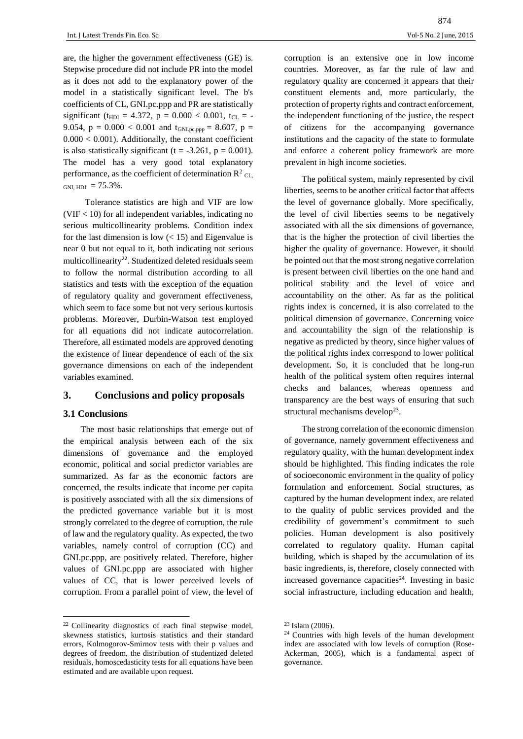are, the higher the government effectiveness (GE) is. Stepwise procedure did not include PR into the model as it does not add to the explanatory power of the model in a statistically significant level. The b's coefficients of CL, GNI.pc.ppp and PR are statistically significant ( $t_{\text{HDI}} = 4.372$ ,  $p = 0.000 < 0.001$ ,  $t_{\text{CL}} = -$ 9.054,  $p = 0.000 < 0.001$  and  $t_{GNLpc,ppp} = 8.607$ ,  $p =$  $0.000 < 0.001$ ). Additionally, the constant coefficient is also statistically significant (t =  $-3.261$ , p = 0.001). The model has a very good total explanatory performance, as the coefficient of determination  $\mathbb{R}^2$  <sub>CL,</sub> GNI,  $HDI = 75.3\%$ .

 Tolerance statistics are high and VIF are low  $(VIF < 10)$  for all independent variables, indicating no serious multicollinearity problems. Condition index for the last dimension is low  $(< 15$ ) and Eigenvalue is near 0 but not equal to it, both indicating not serious multicollinearity<sup>22</sup>. Studentized deleted residuals seem to follow the normal distribution according to all statistics and tests with the exception of the equation of regulatory quality and government effectiveness, which seem to face some but not very serious kurtosis problems. Moreover, Durbin-Watson test employed for all equations did not indicate autocorrelation. Therefore, all estimated models are approved denoting the existence of linear dependence of each of the six governance dimensions on each of the independent variables examined.

# **3. Conclusions and policy proposals**

## **3.1 Conclusions**

 $\overline{\phantom{a}}$ 

The most basic relationships that emerge out of the empirical analysis between each of the six dimensions of governance and the employed economic, political and social predictor variables are summarized. As far as the economic factors are concerned, the results indicate that income per capita is positively associated with all the six dimensions of the predicted governance variable but it is most strongly correlated to the degree of corruption, the rule of law and the regulatory quality. As expected, the two variables, namely control of corruption (CC) and GNI.pc.ppp, are positively related. Therefore, higher values of GNI.pc.ppp are associated with higher values of CC, that is lower perceived levels of corruption. From a parallel point of view, the level of corruption is an extensive one in low income countries. Moreover, as far the rule of law and regulatory quality are concerned it appears that their constituent elements and, more particularly, the protection of property rights and contract enforcement, the independent functioning of the justice, the respect of citizens for the accompanying governance institutions and the capacity of the state to formulate and enforce a coherent policy framework are more prevalent in high income societies.

The political system, mainly represented by civil liberties, seems to be another critical factor that affects the level of governance globally. More specifically, the level of civil liberties seems to be negatively associated with all the six dimensions of governance, that is the higher the protection of civil liberties the higher the quality of governance. However, it should be pointed out that the most strong negative correlation is present between civil liberties on the one hand and political stability and the level of voice and accountability on the other. As far as the political rights index is concerned, it is also correlated to the political dimension of governance. Concerning voice and accountability the sign of the relationship is negative as predicted by theory, since higher values of the political rights index correspond to lower political development. So, it is concluded that he long-run health of the political system often requires internal checks and balances, whereas openness and transparency are the best ways of ensuring that such structural mechanisms develop<sup>23</sup>.

The strong correlation of the economic dimension of governance, namely government effectiveness and regulatory quality, with the human development index should be highlighted. This finding indicates the role of socioeconomic environment in the quality of policy formulation and enforcement. Social structures, as captured by the human development index, are related to the quality of public services provided and the credibility of government's commitment to such policies. Human development is also positively correlated to regulatory quality. Human capital building, which is shaped by the accumulation of its basic ingredients, is, therefore, closely connected with increased governance capacities $24$ . Investing in basic social infrastructure, including education and health,

<sup>22</sup> Collinearity diagnostics of each final stepwise model, skewness statistics, kurtosis statistics and their standard errors, Kolmogorov-Smirnov tests with their p values and degrees of freedom, the distribution of studentized deleted residuals, homoscedasticity tests for all equations have been estimated and are available upon request.

<sup>23</sup> Islam (2006).

<sup>24</sup> Countries with high levels of the human development index are associated with low levels of corruption (Rose-Ackerman, 2005), which is a fundamental aspect of governance.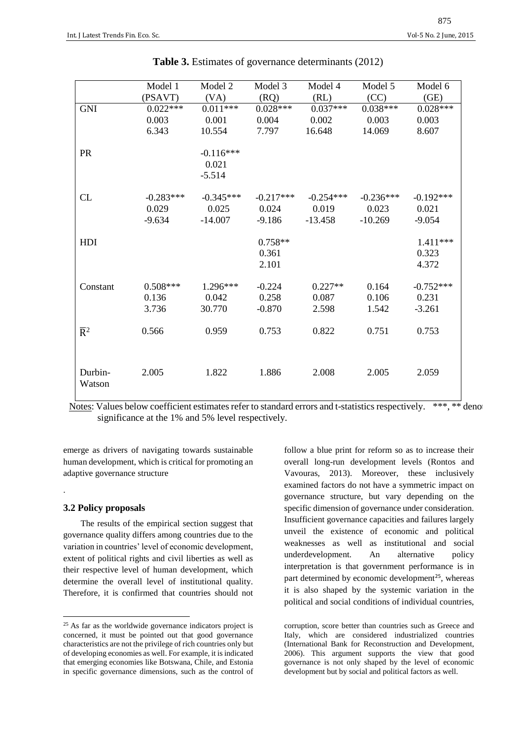|                           | Model 1     | Model 2                          | Model 3                     | Model 4     | Model 5     | Model 6                      |
|---------------------------|-------------|----------------------------------|-----------------------------|-------------|-------------|------------------------------|
|                           | (PSAVT)     | (VA)                             | (RQ)                        | (RL)        | (CC)        | (GE)                         |
| <b>GNI</b>                | $0.022***$  | $0.011***$                       | $0.028***$                  | $0.037***$  | $0.038***$  | $0.028***$                   |
|                           | 0.003       | 0.001                            | 0.004                       | 0.002       | 0.003       | 0.003                        |
|                           | 6.343       | 10.554                           | 7.797                       | 16.648      | 14.069      | 8.607                        |
| PR                        |             | $-0.116***$<br>0.021<br>$-5.514$ |                             |             |             |                              |
| CL                        | $-0.283***$ | $-0.345***$                      | $-0.217***$                 | $-0.254***$ | $-0.236***$ | $-0.192***$                  |
|                           | 0.029       | 0.025                            | 0.024                       | 0.019       | 0.023       | 0.021                        |
|                           | $-9.634$    | $-14.007$                        | $-9.186$                    | $-13.458$   | $-10.269$   | $-9.054$                     |
| HDI                       |             |                                  | $0.758**$<br>0.361<br>2.101 |             |             | $1.411***$<br>0.323<br>4.372 |
| Constant                  | $0.508***$  | $1.296***$                       | $-0.224$                    | $0.227**$   | 0.164       | $-0.752***$                  |
|                           | 0.136       | 0.042                            | 0.258                       | 0.087       | 0.106       | 0.231                        |
|                           | 3.736       | 30.770                           | $-0.870$                    | 2.598       | 1.542       | $-3.261$                     |
| $\overline{\mathrm{R}}^2$ | 0.566       | 0.959                            | 0.753                       | 0.822       | 0.751       | 0.753                        |
| Durbin-<br>Watson         | 2.005       | 1.822                            | 1.886                       | 2.008       | 2.005       | 2.059                        |

|  |  | Table 3. Estimates of governance determinants (2012) |  |
|--|--|------------------------------------------------------|--|
|--|--|------------------------------------------------------|--|

Notes: Values below coefficient estimates refer to standard errors and t-statistics respectively. \*\*\*, \*\* denot significance at the 1% and 5% level respectively.

emerge as drivers of navigating towards sustainable human development, which is critical for promoting an adaptive governance structure

#### **3.2 Policy proposals**

.

 $\overline{\phantom{a}}$ 

The results of the empirical section suggest that governance quality differs among countries due to the variation in countries' level of economic development, extent of political rights and civil liberties as well as their respective level of human development, which determine the overall level of institutional quality. Therefore, it is confirmed that countries should not

follow a blue print for reform so as to increase their overall long-run development levels (Rontos and Vavouras, 2013). Moreover, these inclusively examined factors do not have a symmetric impact on governance structure, but vary depending on the specific dimension of governance under consideration. Insufficient governance capacities and failures largely unveil the existence of economic and political weaknesses as well as institutional and social underdevelopment. An alternative policy interpretation is that government performance is in part determined by economic development<sup>25</sup>, whereas it is also shaped by the systemic variation in the political and social conditions of individual countries,

<sup>&</sup>lt;sup>25</sup> As far as the worldwide governance indicators project is concerned, it must be pointed out that good governance characteristics are not the privilege of rich countries only but of developing economies as well. For example, it is indicated that emerging economies like Botswana, Chile, and Estonia in specific governance dimensions, such as the control of

corruption, score better than countries such as Greece and Italy, which are considered industrialized countries (International Bank for Reconstruction and Development, 2006). This argument supports the view that good governance is not only shaped by the level of economic development but by social and political factors as well.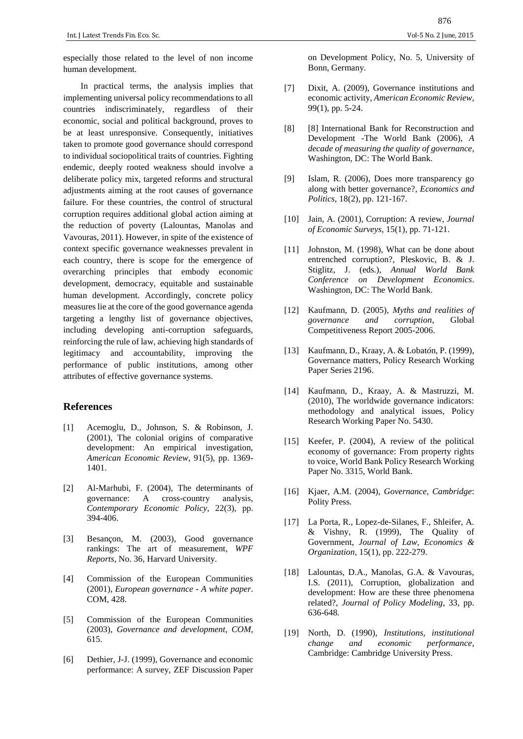especially those related to the level of non income human development.

In practical terms, the analysis implies that implementing universal policy recommendations to all countries indiscriminately, regardless of their economic, social and political background, proves to be at least unresponsive. Consequently, initiatives taken to promote good governance should correspond to individual sociopolitical traits of countries. Fighting endemic, deeply rooted weakness should involve a deliberate policy mix, targeted reforms and structural adjustments aiming at the root causes of governance failure. For these countries, the control of structural corruption requires additional global action aiming at the reduction of poverty (Lalountas, Manolas and Vavouras, 2011). However, in spite of the existence of context specific governance weaknesses prevalent in each country, there is scope for the emergence of overarching principles that embody economic development, democracy, equitable and sustainable human development. Accordingly, concrete policy measures lie at the core of the good governance agenda targeting a lengthy list of governance objectives, including developing anti-corruption safeguards, reinforcing the rule of law, achieving high standards of legitimacy and accountability, improving the performance of public institutions, among other attributes of effective governance systems.

# **References**

- [1] Acemoglu, D., Johnson, S. & Robinson, J. (2001), The colonial origins of comparative development: An empirical investigation, *American Economic Review*, 91(5), pp. 1369- 1401.
- [2] Al-Marhubi, F. (2004), The determinants of governance: A cross-country analysis, *Contemporary Economic Policy*, 22(3), pp. 394-406.
- [3] Besançon, M. (2003), Good governance rankings: The art of measurement, *WPF Reports*, No. 36, Harvard University.
- [4] Commission of the European Communities (2001), *European governance - A white paper*. COM, 428.
- [5] Commission of the European Communities (2003), *Governance and development, COM*, 615.
- [6] Dethier, J-J. (1999), Governance and economic performance: A survey, ZEF Discussion Paper

on Development Policy, No. 5, University of Bonn, Germany.

- [7] Dixit, A. (2009), Governance institutions and economic activity, *American Economic Review*, 99(1), pp. 5-24.
- [8] [8] International Bank for Reconstruction and Development -The World Bank (2006), *A decade of measuring the quality of governance*, Washington, DC: The World Bank.
- [9] Islam, R. (2006), Does more transparency go along with better governance?, *Economics and Politics*, 18(2)*,* pp. 121-167.
- [10] Jain, A. (2001), Corruption: A review, *Journal of Economic Surveys*, 15(1)*,* pp. 71-121.
- [11] Johnston, M. (1998), What can be done about entrenched corruption?, Pleskovic, B. & J. Stiglitz, J. (eds.), *Annual World Bank Conference on Development Economics*. Washington, DC: The World Bank.
- [12] Kaufmann, D. (2005), *Myths and realities of governance and corruption*, Global Competitiveness Report 2005-2006.
- [13] Kaufmann, D., Kraay, A. & Lobat*ó*n, P. (1999), Governance matters, Policy Research Working Paper Series 2196.
- [14] Kaufmann, D., Kraay, A. & Mastruzzi, M. (2010), The worldwide governance indicators: methodology and analytical issues, Policy Research Working Paper No. 5430.
- [15] Keefer, P. (2004), A review of the political economy of governance: From property rights to voice, World Bank Policy Research Working Paper No. 3315, World Bank.
- [16] Kjaer, A.M. (2004), *Governance, Cambridge*: Polity Press.
- [17] La Porta, R., Lopez-de-Silanes, F., Shleifer, A. & Vishny, R. (1999), The Quality of Government, *Journal of Law, Economics & Organization*, 15(1), pp. 222-279.
- [18] Lalountas, D.A., Manolas, G.A. & Vavouras, I.S. (2011), Corruption, globalization and development: How are these three phenomena related?, *Journal of Policy Modeling*, 33, pp. 636-648.
- [19] North, D. (1990), *Institutions, institutional change and economic performance*, Cambridge: Cambridge University Press.